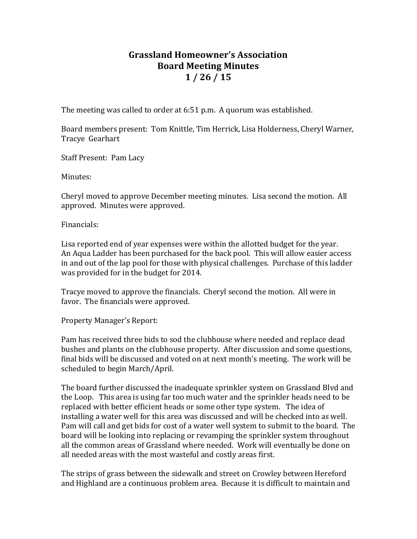## **Grassland Homeowner's Association Board Meeting Minutes 1 / 26 / 15**

The meeting was called to order at 6:51 p.m. A quorum was established.

Board members present: Tom Knittle, Tim Herrick, Lisa Holderness, Cheryl Warner, Tracye Gearhart

Staff Present: Pam Lacy

Minutes:

Cheryl moved to approve December meeting minutes. Lisa second the motion. All approved. Minutes were approved.

Financials:

Lisa reported end of year expenses were within the allotted budget for the year. An Aqua Ladder has been purchased for the back pool. This will allow easier access in and out of the lap pool for those with physical challenges. Purchase of this ladder was provided for in the budget for 2014.

Tracye moved to approve the financials. Cheryl second the motion. All were in favor. The financials were approved.

Property Manager's Report:

Pam has received three bids to sod the clubhouse where needed and replace dead bushes and plants on the clubhouse property. After discussion and some questions, final bids will be discussed and voted on at next month's meeting. The work will be scheduled to begin March/April.

The board further discussed the inadequate sprinkler system on Grassland Blvd and the Loop. This area is using far too much water and the sprinkler heads need to be replaced with better efficient heads or some other type system. The idea of installing a water well for this area was discussed and will be checked into as well. Pam will call and get bids for cost of a water well system to submit to the board. The board will be looking into replacing or revamping the sprinkler system throughout all the common areas of Grassland where needed. Work will eventually be done on all needed areas with the most wasteful and costly areas first.

The strips of grass between the sidewalk and street on Crowley between Hereford and Highland are a continuous problem area. Because it is difficult to maintain and